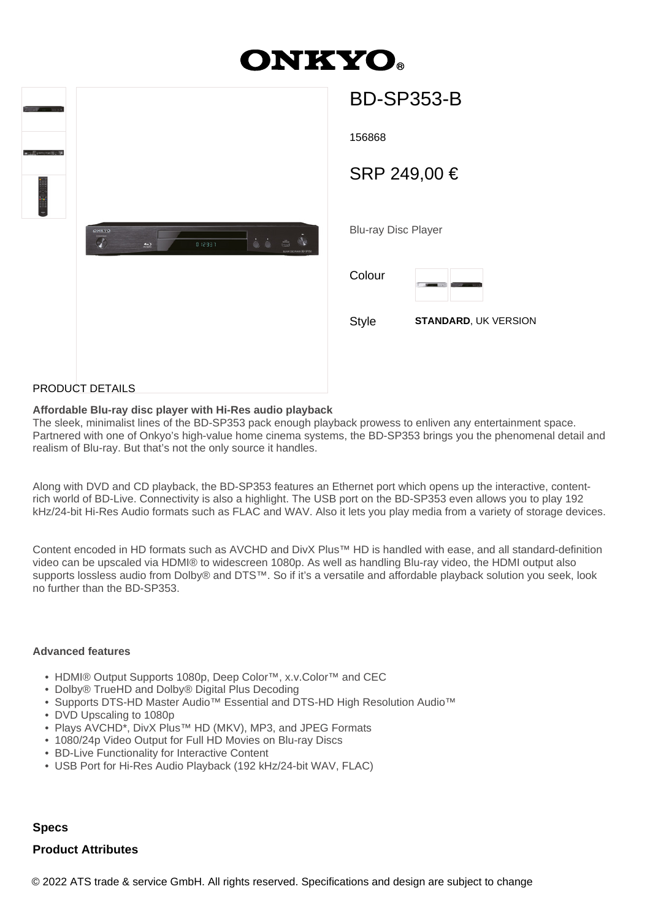# **ONKYO.**

|                                                                                                              |                            | <b>BD-SP353-B</b> |
|--------------------------------------------------------------------------------------------------------------|----------------------------|-------------------|
|                                                                                                              | 156868                     |                   |
|                                                                                                              |                            | SRP 249,00 €      |
| ONIGYO<br>$\mathcal{G}$<br>$\begin{array}{cc} \bullet & \bullet \end{array}$<br>å<br>012931<br>$\Rightarrow$ | <b>Blu-ray Disc Player</b> |                   |
|                                                                                                              | Colour                     |                   |
|                                                                                                              | Style                      | <b>STANDAR</b>    |
|                                                                                                              |                            |                   |
| <b>ARLIAT BETALL C</b>                                                                                       |                            |                   |

| BU-SP393-B                 |                             |
|----------------------------|-----------------------------|
| 156868                     |                             |
| SRP 249,00 €               |                             |
|                            |                             |
| <b>Blu-ray Disc Player</b> |                             |
| Colour                     |                             |
| <b>Style</b>               | <b>STANDARD, UK VERSION</b> |
|                            |                             |
|                            |                             |

### PRODUCT DETAILS

#### **Affordable Blu-ray disc player with Hi-Res audio playback**

The sleek, minimalist lines of the BD-SP353 pack enough playback prowess to enliven any entertainment space. Partnered with one of Onkyo's high-value home cinema systems, the BD-SP353 brings you the phenomenal detail and realism of Blu-ray. But that's not the only source it handles.

Along with DVD and CD playback, the BD-SP353 features an Ethernet port which opens up the interactive, contentrich world of BD-Live. Connectivity is also a highlight. The USB port on the BD-SP353 even allows you to play 192 kHz/24-bit Hi-Res Audio formats such as FLAC and WAV. Also it lets you play media from a variety of storage devices.

Content encoded in HD formats such as AVCHD and DivX Plus™ HD is handled with ease, and all standard-definition video can be upscaled via HDMI® to widescreen 1080p. As well as handling Blu-ray video, the HDMI output also supports lossless audio from Dolby® and DTS™. So if it's a versatile and affordable playback solution you seek, look no further than the BD-SP353.

#### **Advanced features**

- HDMI® Output Supports 1080p, Deep Color™, x.v.Color™ and CEC
- Dolby® TrueHD and Dolby® Digital Plus Decoding
- Supports DTS-HD Master Audio™ Essential and DTS-HD High Resolution Audio™
- DVD Upscaling to 1080p
- Plays AVCHD\*, DivX Plus™ HD (MKV), MP3, and JPEG Formats
- 1080/24p Video Output for Full HD Movies on Blu-ray Discs
- BD-Live Functionality for Interactive Content
- USB Port for Hi-Res Audio Playback (192 kHz/24-bit WAV, FLAC)

## **Specs**

## **Product Attributes**